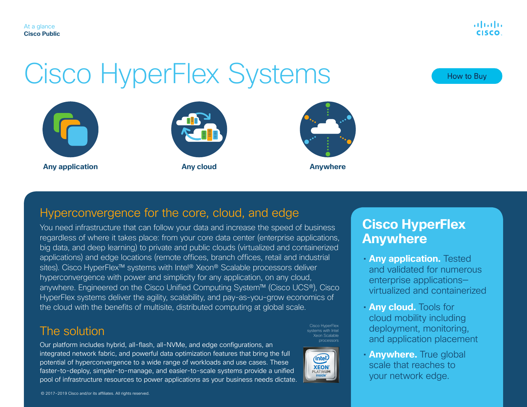# Cisco HyperFlex Systems







#### Hyperconvergence for the core, cloud, and edge

You need infrastructure that can follow your data and increase the speed of business regardless of where it takes place: from your core data center (enterprise applications, big data, and deep learning) to private and public clouds (virtualized and containerized applications) and edge locations (remote offices, branch offices, retail and industrial sites). Cisco HyperFlex™ systems with Intel® Xeon® Scalable processors deliver hyperconvergence with power and simplicity for any application, on any cloud, anywhere. Engineered on the Cisco Unified Computing System™ (Cisco UCS®), Cisco HyperFlex systems deliver the agility, scalability, and pay-as-you-grow economics of the cloud with the benefits of multisite, distributed computing at global scale.

#### The solution

Our platform includes hybrid, all-flash, all-NVMe, and edge configurations, an integrated network fabric, and powerful data optimization features that bring the full potential of hyperconvergence to a wide range of workloads and use cases. These faster-to-deploy, simpler-to-manage, and easier-to-scale systems provide a unified pool of infrastructure resources to power applications as your business needs dictate.

#### © 2017–2019 Cisco and/or its affiliates. All rights reserved.

**Cisco HyperFlex Anywhere**

- **Any application.** Tested and validated for numerous enterprise applications virtualized and containerized
- **Any cloud.** Tools for cloud mobility including deployment, monitoring, and application placement
- **Anywhere.** True global scale that reaches to your network edge.

processors(intel)

Cisco HyperFlex systems with Intel Xeon Scalable

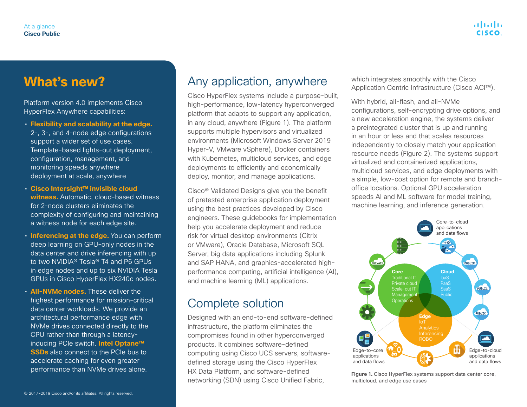### **What's new?**

Platform version 4.0 implements Cisco HyperFlex Anywhere capabilities:

- **Flexibility and scalability at the edge.**  2-, 3-, and 4-node edge configurations support a wider set of use cases. Template-based lights-out deployment, configuration, management, and monitoring speeds anywhere deployment at scale, anywhere
- **Cisco Intersight™ invisible cloud witness.** Automatic, cloud-based witness for 2-node clusters eliminates the complexity of configuring and maintaining a witness node for each edge site.
- **Inferencing at the edge.** You can perform deep learning on GPU-only nodes in the data center and drive inferencing with up to two NVIDIA® Tesla® T4 and P6 GPUs in edge nodes and up to six NVIDIA Tesla GPUs in Cisco HyperFlex HX240c nodes.
- **All-NVMe nodes.** These deliver the highest performance for mission-critical data center workloads. We provide an architectural performance edge with NVMe drives connected directly to the CPU rather than through a latencyinducing PCIe switch. **Intel Optane™ SSDs** also connect to the PCIe bus to accelerate caching for even greater performance than NVMe drives alone.

#### Any application, anywhere

Cisco HyperFlex systems include a purpose-built, high-performance, low-latency hyperconverged platform that adapts to support any application, in any cloud, anywhere (Figure 1). The platform supports multiple hypervisors and virtualized environments (Microsoft Windows Server 2019 Hyper-V, VMware vSphere), Docker containers with Kubernetes, multicloud services, and edge deployments to efficiently and economically deploy, monitor, and manage applications.

Cisco® Validated Designs give you the benefit of pretested enterprise application deployment using the best practices developed by Cisco engineers. These guidebooks for implementation help you accelerate deployment and reduce risk for virtual desktop environments (Citrix or VMware), Oracle Database, Microsoft SQL Server, big data applications including Splunk and SAP HANA, and graphics-accelerated highperformance computing, artificial intelligence (AI), and machine learning (ML) applications.

#### Complete solution

Designed with an end-to-end software-defined infrastructure, the platform eliminates the compromises found in other hyperconverged products. It combines software-defined computing using Cisco UCS servers, softwaredefined storage using the Cisco HyperFlex HX Data Platform, and software-defined networking (SDN) using Cisco Unified Fabric,

which integrates smoothly with the Cisco Application Centric Infrastructure (Cisco ACI™).

With hybrid, all-flash, and all-NVMe configurations, self-encrypting drive options, and a new acceleration engine, the systems deliver a preintegrated cluster that is up and running in an hour or less and that scales resources independently to closely match your application resource needs (Figure 2). The systems support virtualized and containerized applications, multicloud services, and edge deployments with a simple, low-cost option for remote and branchoffice locations. Optional GPU acceleration speeds AI and ML software for model training, machine learning, and inference generation.



**Figure 1.** Cisco HyperFlex systems support data center core, multicloud, and edge use cases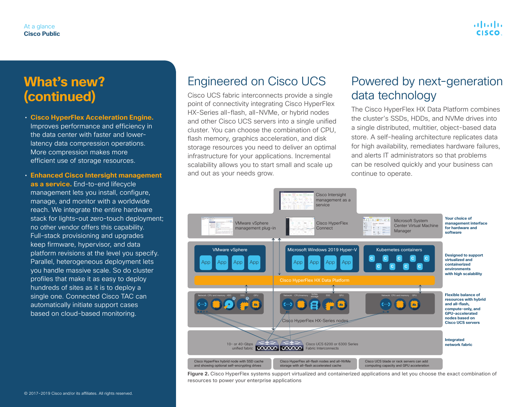## **What's new? (continued)**

- **Cisco HyperFlex Acceleration Engine.**  Improves performance and efficiency in the data center with faster and lowerlatency data compression operations. More compression makes more efficient use of storage resources.
- **Enhanced Cisco Intersight management as a service.** End-to-end lifecycle management lets you install, configure, manage, and monitor with a worldwide reach. We integrate the entire hardware stack for lights-out zero-touch deployment; no other vendor offers this capability. Full-stack provisioning and upgrades keep firmware, hypervisor, and data platform revisions at the level you specify. Parallel, heterogeneous deployment lets you handle massive scale. So do cluster profiles that make it as easy to deploy hundreds of sites as it is to deploy a single one. Connected Cisco TAC can automatically initiate support cases based on cloud-based monitoring.

#### Engineered on Cisco UCS

Cisco UCS fabric interconnects provide a single point of connectivity integrating Cisco HyperFlex HX-Series all-flash, all-NVMe, or hybrid nodes and other Cisco UCS servers into a single unified cluster. You can choose the combination of CPU, flash memory, graphics acceleration, and disk storage resources you need to deliver an optimal infrastructure for your applications. Incremental scalability allows you to start small and scale up and out as your needs grow.

#### Powered by next-generation data technology

The Cisco HyperFlex HX Data Platform combines the cluster's SSDs, HDDs, and NVMe drives into a single distributed, multitier, object-based data store. A self-healing architecture replicates data for high availability, remediates hardware failures, and alerts IT administrators so that problems can be resolved quickly and your business can continue to operate.



**Figure 2.** Cisco HyperFlex systems support virtualized and containerized applications and let you choose the exact combination of resources to power your enterprise applications